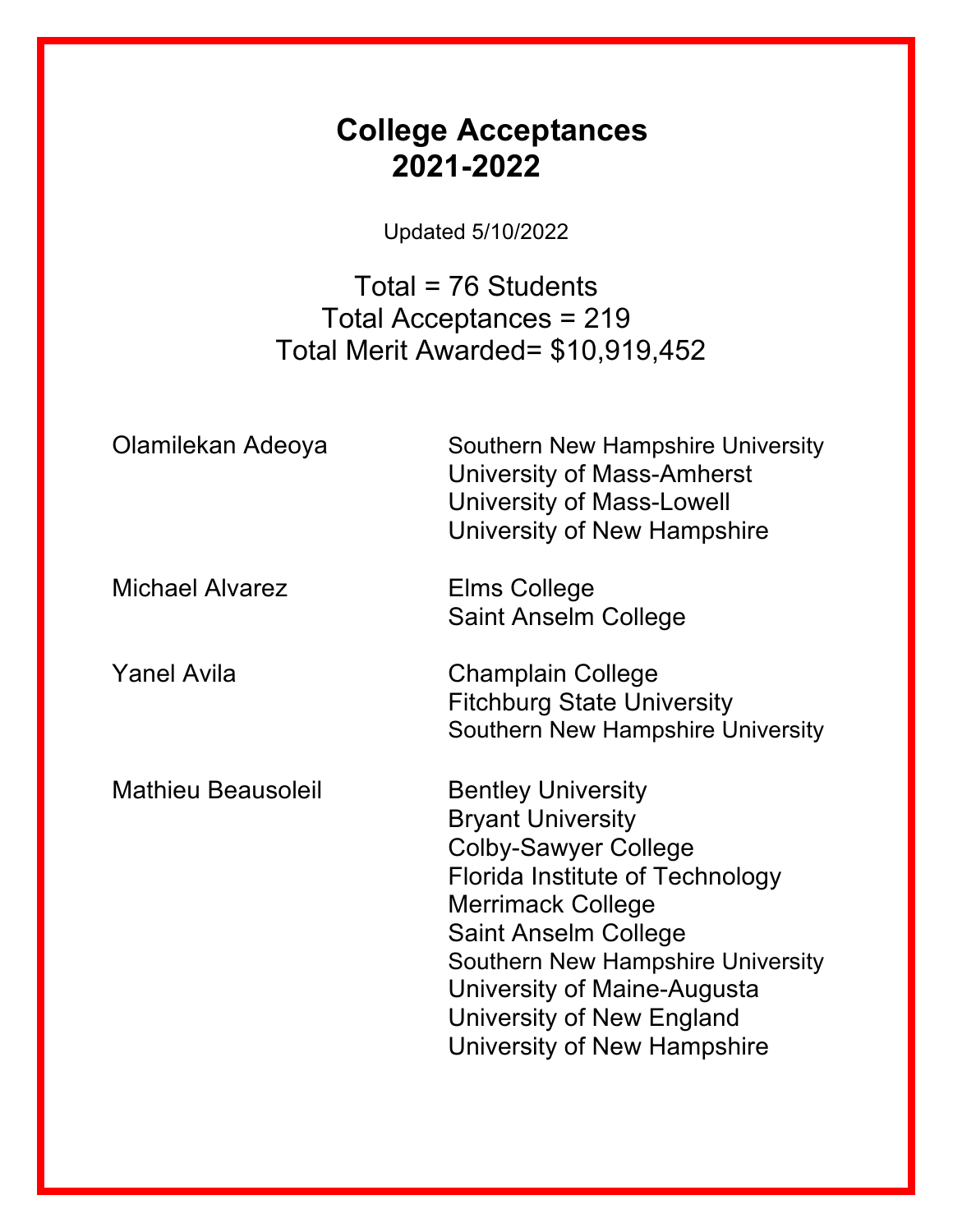## **College Acceptances 2021-2022**

Updated 5/10/2022

Total = 76 Students Total Acceptances = 219 Total Merit Awarded= \$10,919,452

| Olamilekan Adeoya         | Southern New Hampshire University<br>University of Mass-Amherst<br><b>University of Mass-Lowell</b><br>University of New Hampshire                                                                                                                                                                                 |
|---------------------------|--------------------------------------------------------------------------------------------------------------------------------------------------------------------------------------------------------------------------------------------------------------------------------------------------------------------|
| <b>Michael Alvarez</b>    | Elms College<br><b>Saint Anselm College</b>                                                                                                                                                                                                                                                                        |
| <b>Yanel Avila</b>        | <b>Champlain College</b><br><b>Fitchburg State University</b><br>Southern New Hampshire University                                                                                                                                                                                                                 |
| <b>Mathieu Beausoleil</b> | <b>Bentley University</b><br><b>Bryant University</b><br><b>Colby-Sawyer College</b><br>Florida Institute of Technology<br><b>Merrimack College</b><br><b>Saint Anselm College</b><br>Southern New Hampshire University<br>University of Maine-Augusta<br>University of New England<br>University of New Hampshire |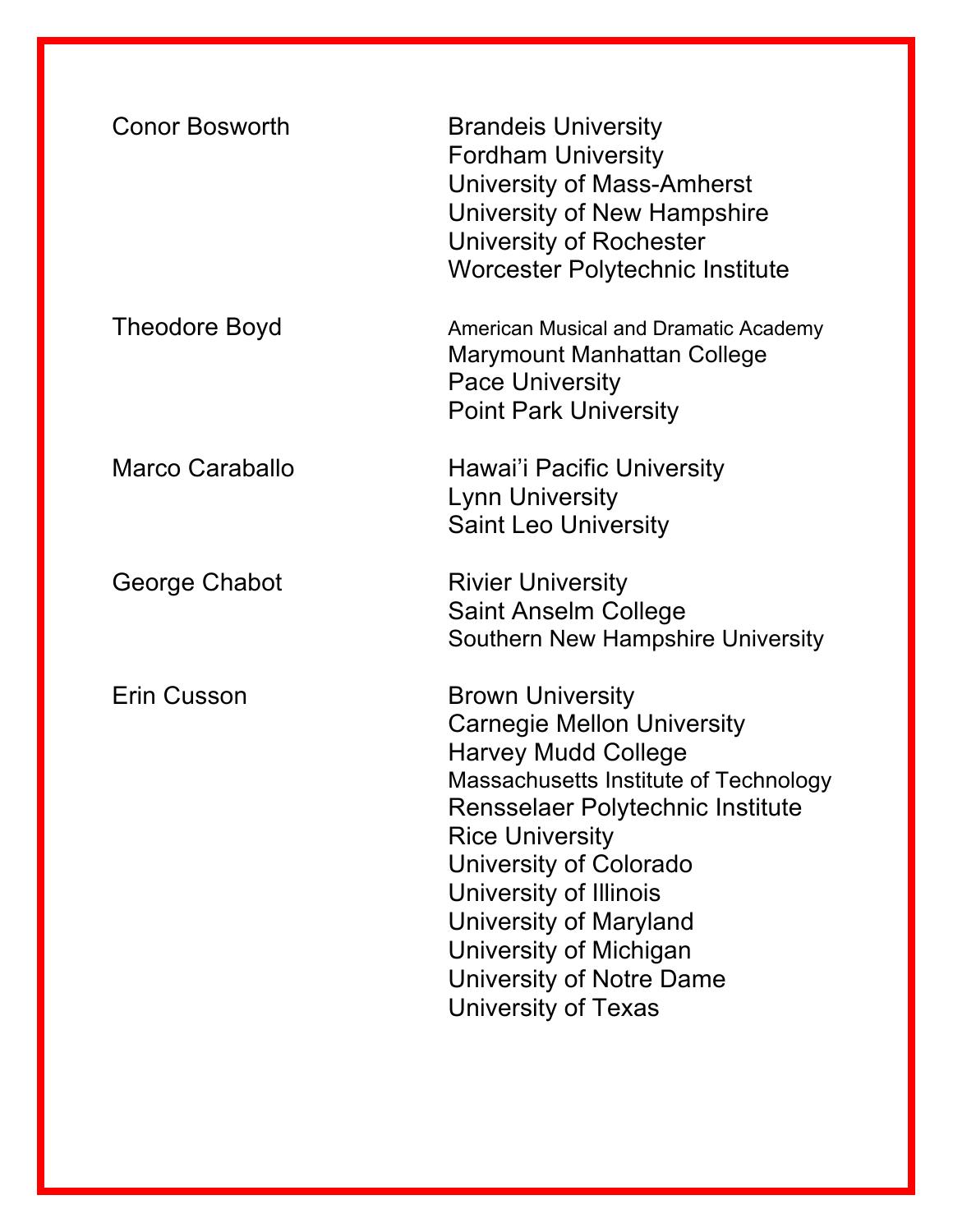| <b>Conor Bosworth</b>  | <b>Brandeis University</b><br><b>Fordham University</b><br>University of Mass-Amherst<br>University of New Hampshire<br>University of Rochester<br>Worcester Polytechnic Institute                                                                                                                                                                                  |
|------------------------|---------------------------------------------------------------------------------------------------------------------------------------------------------------------------------------------------------------------------------------------------------------------------------------------------------------------------------------------------------------------|
| Theodore Boyd          | <b>American Musical and Dramatic Academy</b><br>Marymount Manhattan College<br><b>Pace University</b><br><b>Point Park University</b>                                                                                                                                                                                                                               |
| <b>Marco Caraballo</b> | Hawai'i Pacific University<br><b>Lynn University</b><br><b>Saint Leo University</b>                                                                                                                                                                                                                                                                                 |
| George Chabot          | <b>Rivier University</b><br><b>Saint Anselm College</b><br>Southern New Hampshire University                                                                                                                                                                                                                                                                        |
| Erin Cusson            | <b>Brown University</b><br><b>Carnegie Mellon University</b><br><b>Harvey Mudd College</b><br>Massachusetts Institute of Technology<br><b>Rensselaer Polytechnic Institute</b><br><b>Rice University</b><br>University of Colorado<br>University of Illinois<br>University of Maryland<br>University of Michigan<br>University of Notre Dame<br>University of Texas |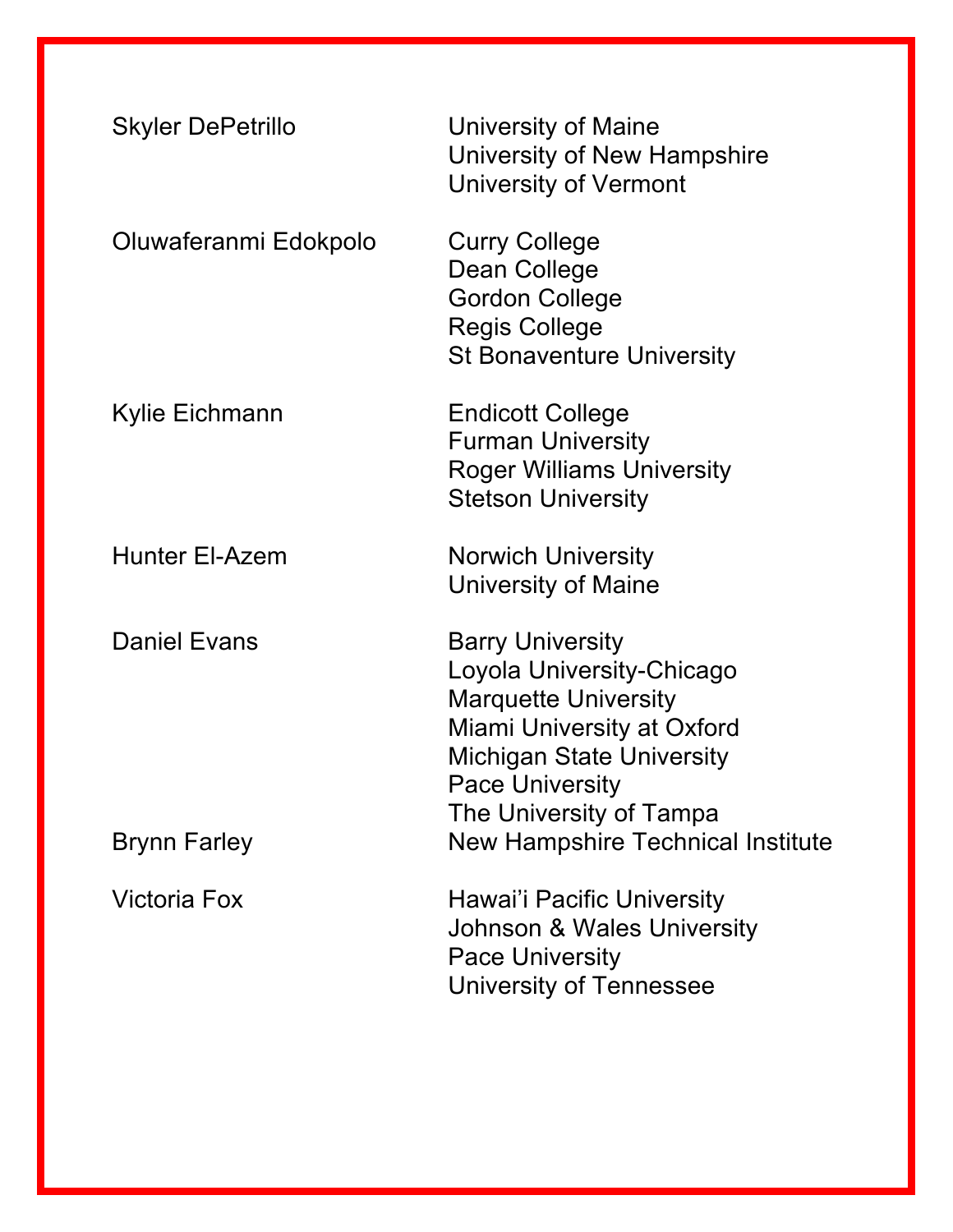| <b>Skyler DePetrillo</b> | University of Maine<br>University of New Hampshire<br><b>University of Vermont</b>                                                                                                                         |
|--------------------------|------------------------------------------------------------------------------------------------------------------------------------------------------------------------------------------------------------|
| Oluwaferanmi Edokpolo    | <b>Curry College</b><br>Dean College<br><b>Gordon College</b><br><b>Regis College</b><br><b>St Bonaventure University</b>                                                                                  |
| Kylie Eichmann           | <b>Endicott College</b><br><b>Furman University</b><br><b>Roger Williams University</b><br><b>Stetson University</b>                                                                                       |
| <b>Hunter El-Azem</b>    | <b>Norwich University</b><br>University of Maine                                                                                                                                                           |
| <b>Daniel Evans</b>      | <b>Barry University</b><br>Loyola University-Chicago<br><b>Marquette University</b><br>Miami University at Oxford<br><b>Michigan State University</b><br><b>Pace University</b><br>The University of Tampa |
| <b>Brynn Farley</b>      | <b>New Hampshire Technical Institute</b>                                                                                                                                                                   |
| <b>Victoria Fox</b>      | Hawai'i Pacific University<br>Johnson & Wales University<br><b>Pace University</b><br>University of Tennessee                                                                                              |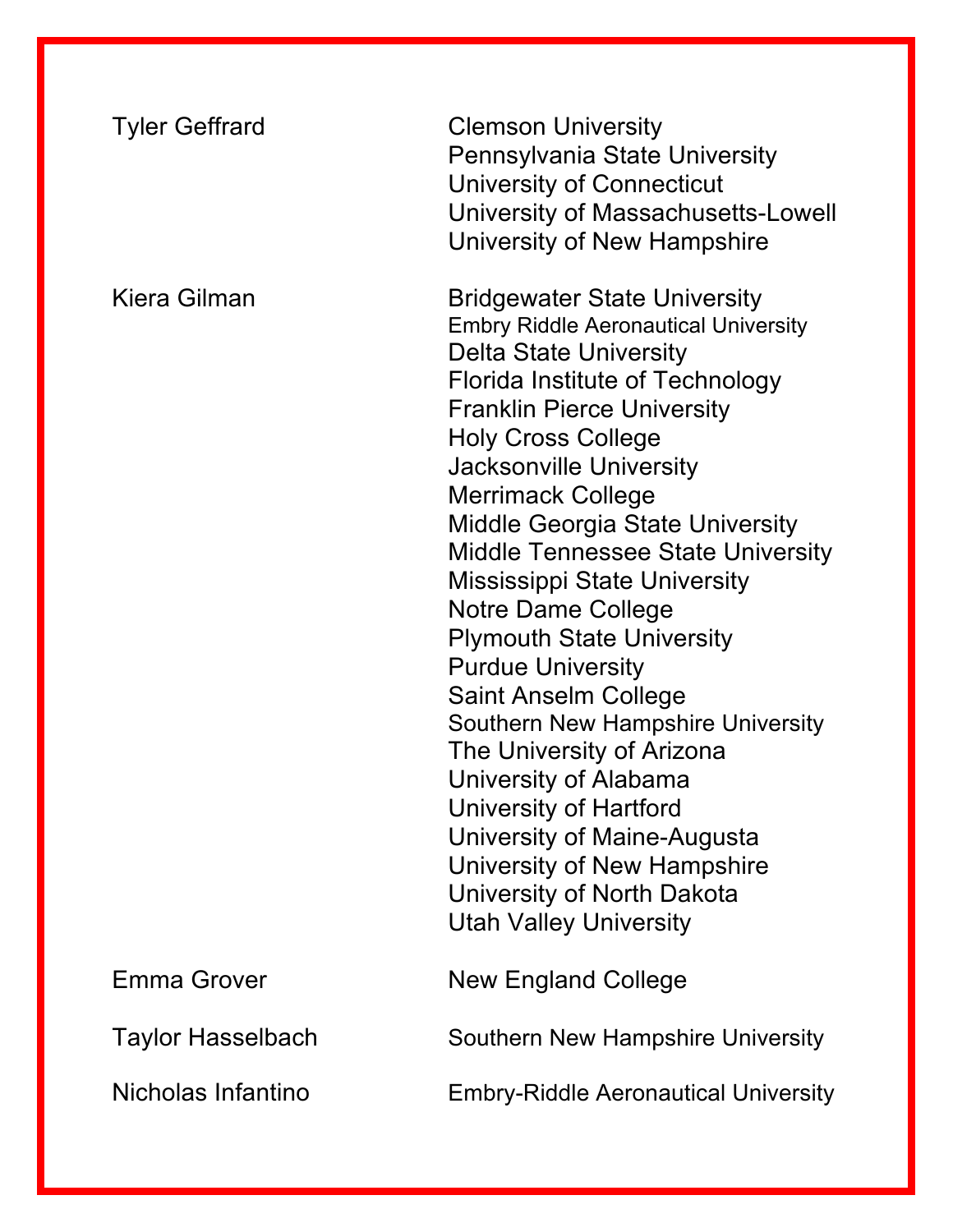| <b>Tyler Geffrard</b>    | <b>Clemson University</b><br>Pennsylvania State University<br>University of Connecticut<br>University of Massachusetts-Lowell<br>University of New Hampshire                                                                                                                                                                                                                                                                                                                                                                                                                                                                                                                                                                                                                               |
|--------------------------|--------------------------------------------------------------------------------------------------------------------------------------------------------------------------------------------------------------------------------------------------------------------------------------------------------------------------------------------------------------------------------------------------------------------------------------------------------------------------------------------------------------------------------------------------------------------------------------------------------------------------------------------------------------------------------------------------------------------------------------------------------------------------------------------|
| Kiera Gilman             | <b>Bridgewater State University</b><br><b>Embry Riddle Aeronautical University</b><br><b>Delta State University</b><br>Florida Institute of Technology<br><b>Franklin Pierce University</b><br><b>Holy Cross College</b><br><b>Jacksonville University</b><br><b>Merrimack College</b><br><b>Middle Georgia State University</b><br><b>Middle Tennessee State University</b><br><b>Mississippi State University</b><br>Notre Dame College<br><b>Plymouth State University</b><br><b>Purdue University</b><br><b>Saint Anselm College</b><br>Southern New Hampshire University<br>The University of Arizona<br>University of Alabama<br>University of Hartford<br>University of Maine-Augusta<br>University of New Hampshire<br>University of North Dakota<br><b>Utah Valley University</b> |
| <b>Emma Grover</b>       | <b>New England College</b>                                                                                                                                                                                                                                                                                                                                                                                                                                                                                                                                                                                                                                                                                                                                                                 |
| <b>Taylor Hasselbach</b> | Southern New Hampshire University                                                                                                                                                                                                                                                                                                                                                                                                                                                                                                                                                                                                                                                                                                                                                          |
| Nicholas Infantino       | <b>Embry-Riddle Aeronautical University</b>                                                                                                                                                                                                                                                                                                                                                                                                                                                                                                                                                                                                                                                                                                                                                |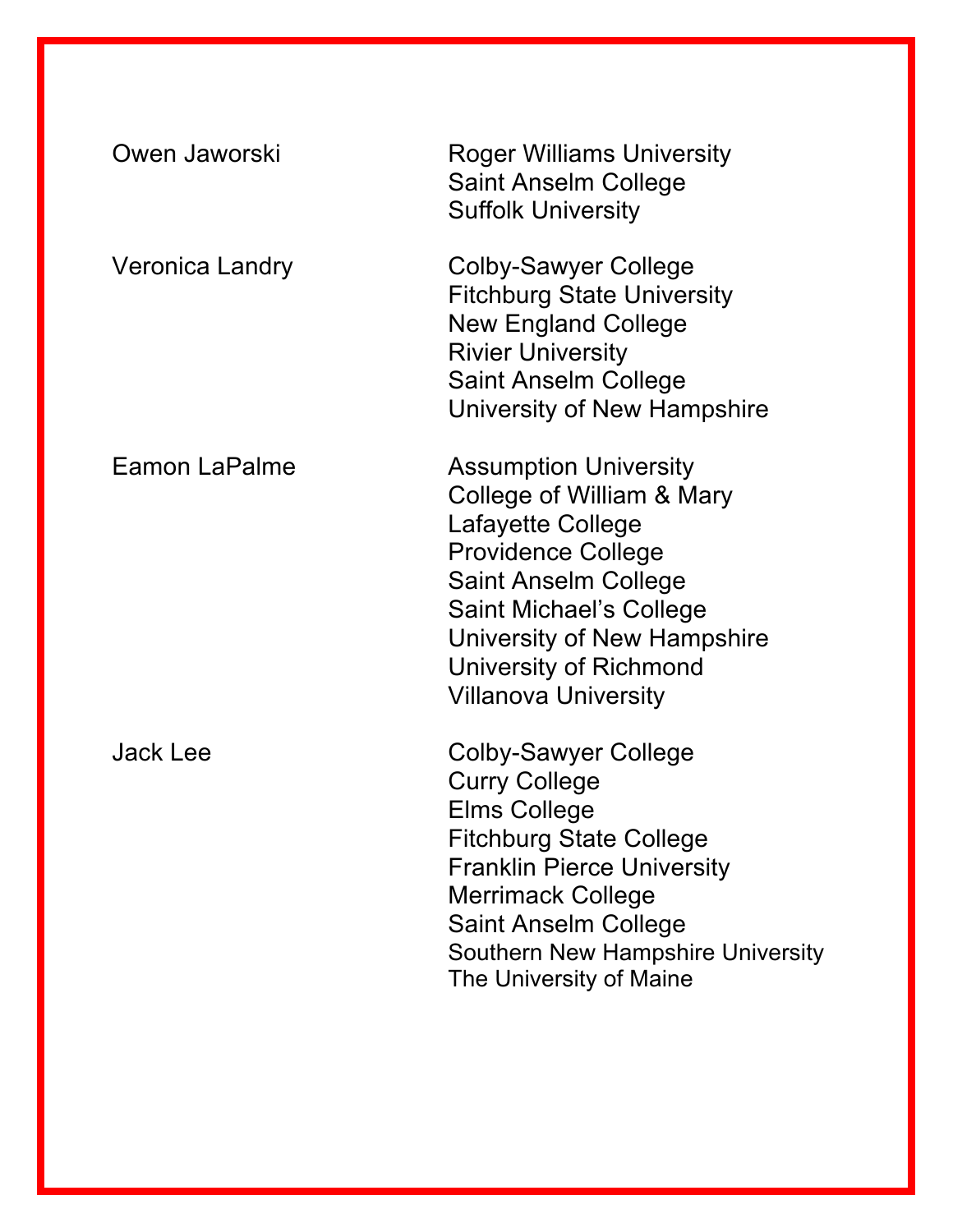| Owen Jaworski        | <b>Roger Williams University</b><br><b>Saint Anselm College</b><br><b>Suffolk University</b>                                                                                                                                                                                 |
|----------------------|------------------------------------------------------------------------------------------------------------------------------------------------------------------------------------------------------------------------------------------------------------------------------|
| Veronica Landry      | Colby-Sawyer College<br><b>Fitchburg State University</b><br><b>New England College</b><br><b>Rivier University</b><br><b>Saint Anselm College</b><br>University of New Hampshire                                                                                            |
| <b>Eamon LaPalme</b> | <b>Assumption University</b><br>College of William & Mary<br>Lafayette College<br><b>Providence College</b><br><b>Saint Anselm College</b><br><b>Saint Michael's College</b><br>University of New Hampshire<br>University of Richmond<br><b>Villanova University</b>         |
| <b>Jack Lee</b>      | Colby-Sawyer College<br><b>Curry College</b><br><b>Elms College</b><br><b>Fitchburg State College</b><br><b>Franklin Pierce University</b><br><b>Merrimack College</b><br><b>Saint Anselm College</b><br><b>Southern New Hampshire University</b><br>The University of Maine |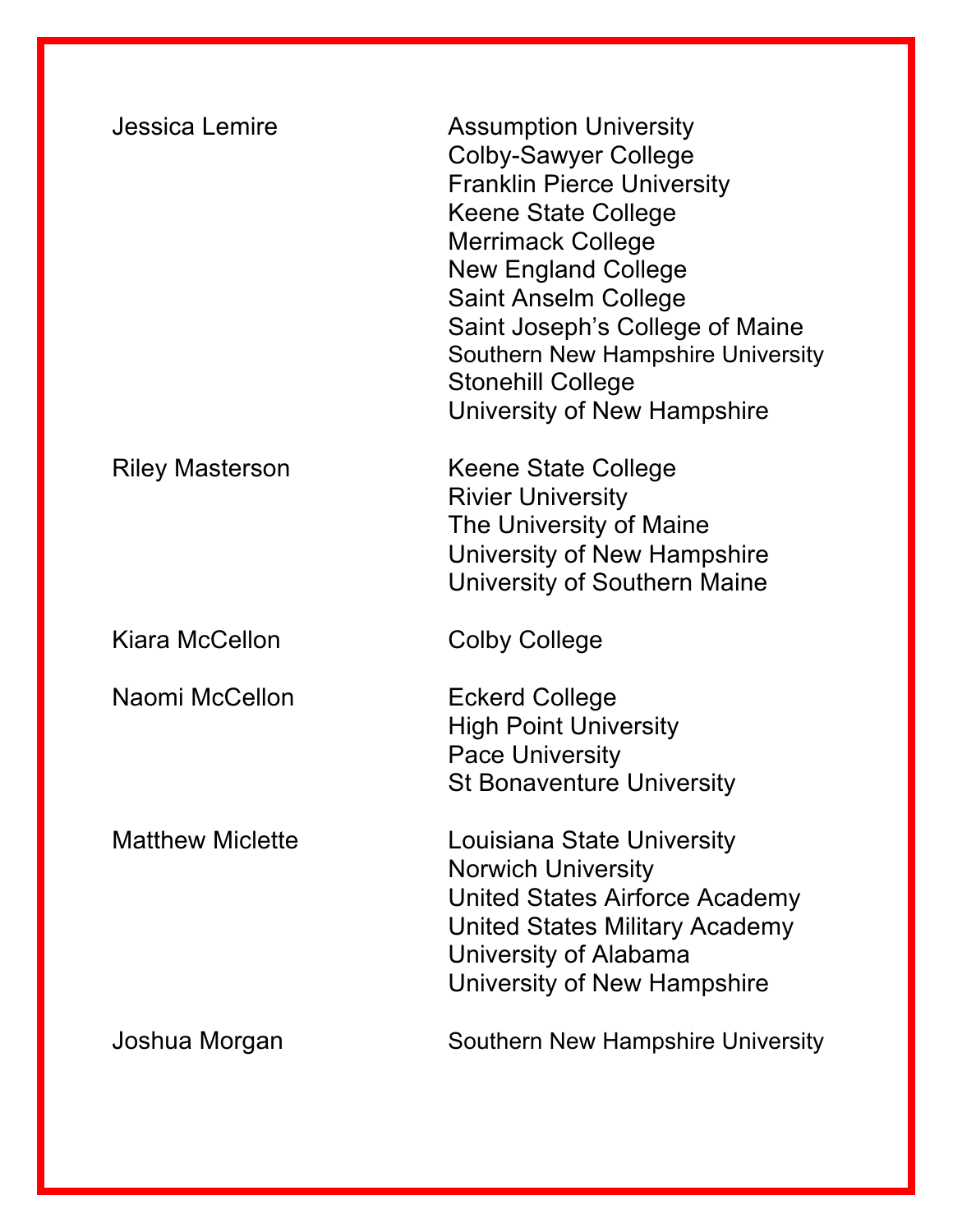| Jessica Lemire          | <b>Assumption University</b><br><b>Colby-Sawyer College</b><br><b>Franklin Pierce University</b><br>Keene State College<br><b>Merrimack College</b><br><b>New England College</b><br><b>Saint Anselm College</b><br>Saint Joseph's College of Maine<br>Southern New Hampshire University<br><b>Stonehill College</b><br>University of New Hampshire |
|-------------------------|-----------------------------------------------------------------------------------------------------------------------------------------------------------------------------------------------------------------------------------------------------------------------------------------------------------------------------------------------------|
| <b>Riley Masterson</b>  | Keene State College<br><b>Rivier University</b><br>The University of Maine<br>University of New Hampshire<br>University of Southern Maine                                                                                                                                                                                                           |
| Kiara McCellon          | Colby College                                                                                                                                                                                                                                                                                                                                       |
| Naomi McCellon          | Eckerd College<br><b>High Point University</b><br><b>Pace University</b><br><b>St Bonaventure University</b>                                                                                                                                                                                                                                        |
| <b>Matthew Miclette</b> | Louisiana State University<br><b>Norwich University</b><br><b>United States Airforce Academy</b><br>United States Military Academy<br>University of Alabama<br>University of New Hampshire                                                                                                                                                          |
| Joshua Morgan           | Southern New Hampshire University                                                                                                                                                                                                                                                                                                                   |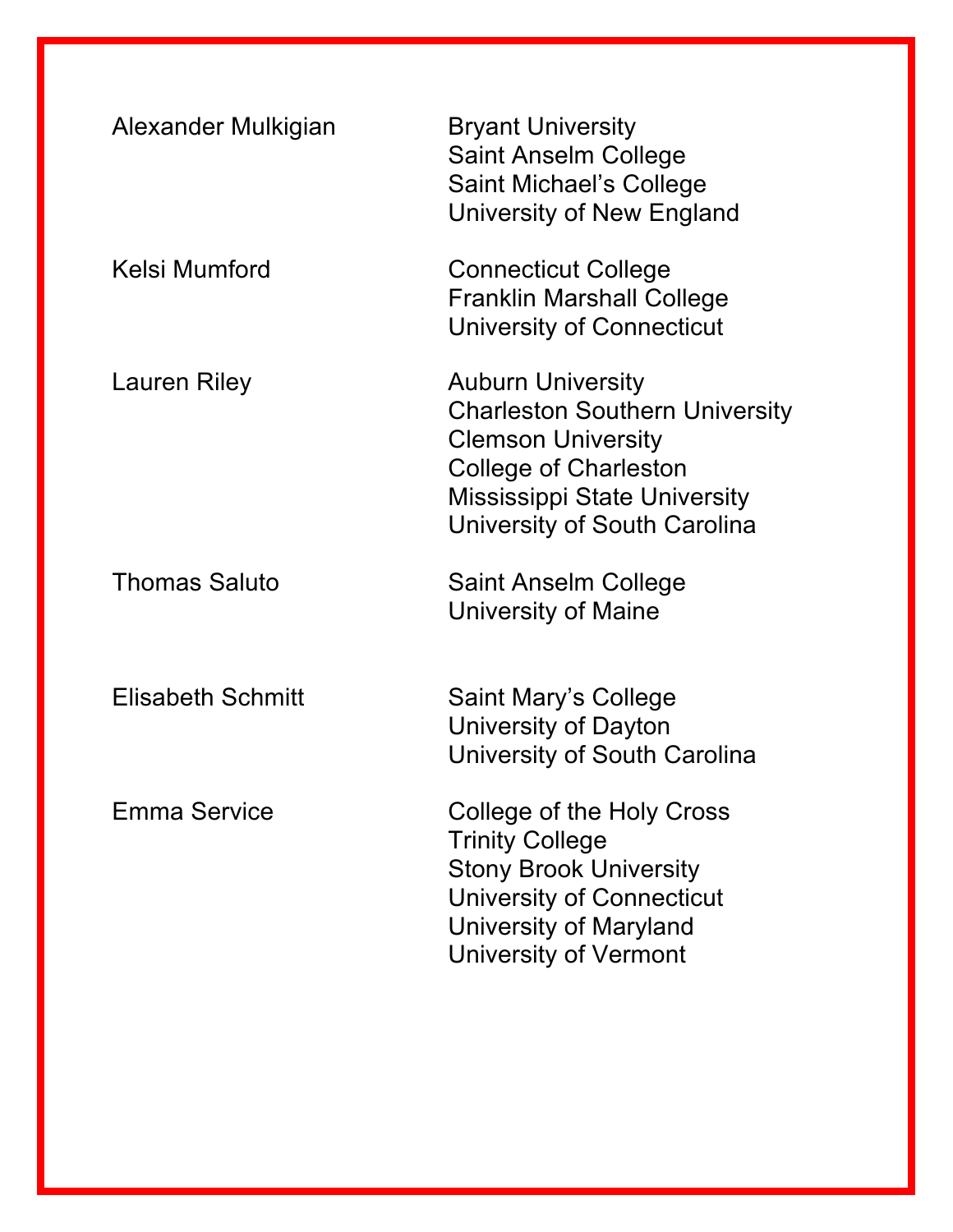| Alexander Mulkigian      | <b>Bryant University</b><br><b>Saint Anselm College</b><br><b>Saint Michael's College</b><br>University of New England                                                                                |
|--------------------------|-------------------------------------------------------------------------------------------------------------------------------------------------------------------------------------------------------|
| Kelsi Mumford            | <b>Connecticut College</b><br><b>Franklin Marshall College</b><br>University of Connecticut                                                                                                           |
| Lauren Riley             | <b>Auburn University</b><br><b>Charleston Southern University</b><br><b>Clemson University</b><br><b>College of Charleston</b><br><b>Mississippi State University</b><br>University of South Carolina |
| <b>Thomas Saluto</b>     | Saint Anselm College<br>University of Maine                                                                                                                                                           |
| <b>Elisabeth Schmitt</b> | Saint Mary's College<br>University of Dayton<br>University of South Carolina                                                                                                                          |
| <b>Emma Service</b>      | College of the Holy Cross<br><b>Trinity College</b><br><b>Stony Brook University</b><br><b>University of Connecticut</b><br>University of Maryland<br><b>University of Vermont</b>                    |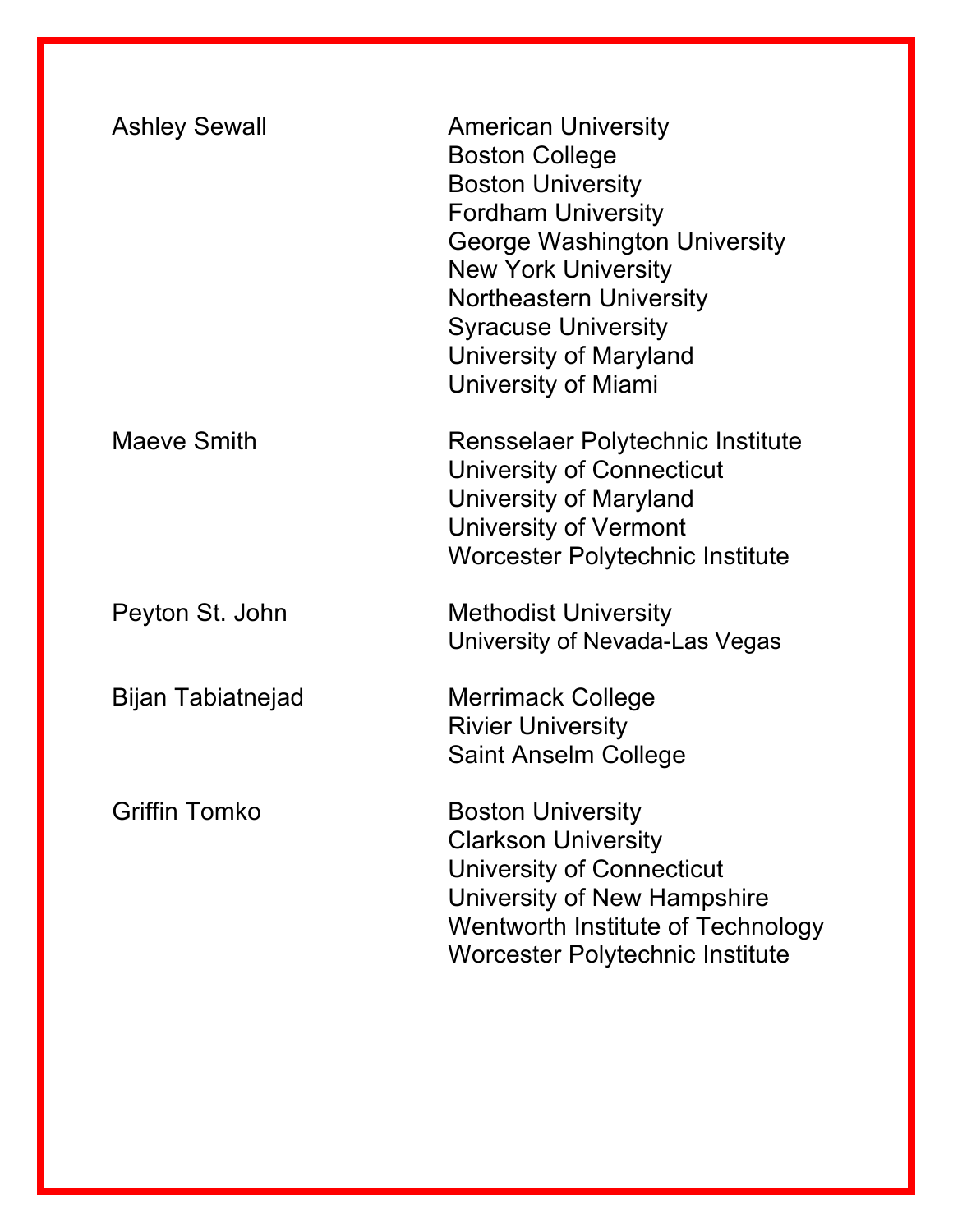| <b>Ashley Sewall</b> | <b>American University</b><br><b>Boston College</b><br><b>Boston University</b><br><b>Fordham University</b><br><b>George Washington University</b><br><b>New York University</b><br><b>Northeastern University</b><br><b>Syracuse University</b><br>University of Maryland<br>University of Miami |
|----------------------|----------------------------------------------------------------------------------------------------------------------------------------------------------------------------------------------------------------------------------------------------------------------------------------------------|
| Maeve Smith          | Rensselaer Polytechnic Institute<br>University of Connecticut<br><b>University of Maryland</b><br>University of Vermont<br>Worcester Polytechnic Institute                                                                                                                                         |
| Peyton St. John      | <b>Methodist University</b><br>University of Nevada-Las Vegas                                                                                                                                                                                                                                      |
| Bijan Tabiatnejad    | <b>Merrimack College</b><br><b>Rivier University</b><br><b>Saint Anselm College</b>                                                                                                                                                                                                                |
| <b>Griffin Tomko</b> | <b>Boston University</b><br><b>Clarkson University</b><br><b>University of Connecticut</b><br>University of New Hampshire<br>Wentworth Institute of Technology<br>Worcester Polytechnic Institute                                                                                                  |